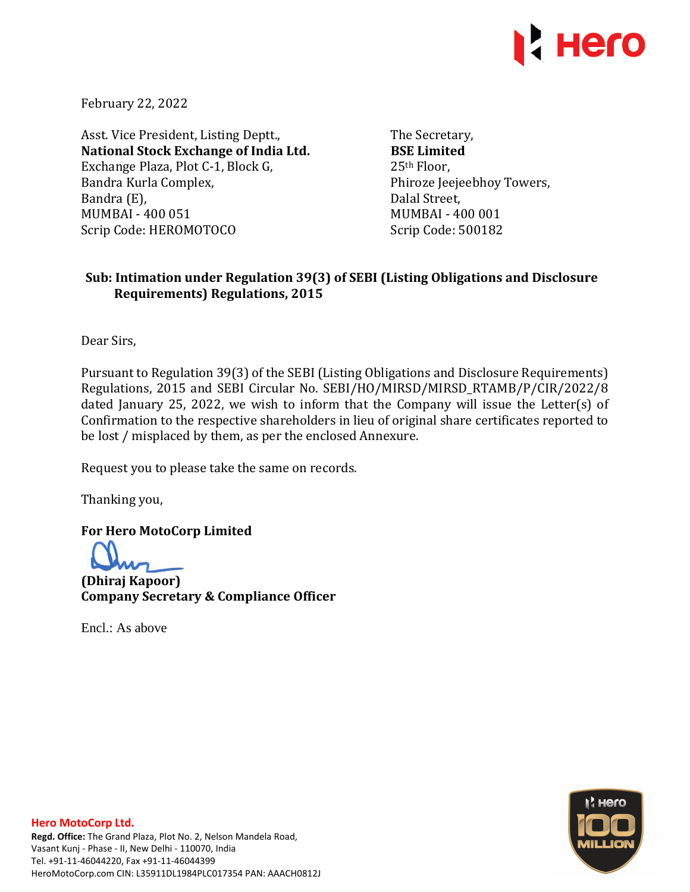

February 22, 2022

Asst. Vice President, Listing Deptt., **National Stock Exchange of India Ltd.**  Exchange Plaza, Plot C-1, Block G, Bandra Kurla Complex, Bandra (E), MUMBAI - 400 051 Scrip Code: HEROMOTOCO

The Secretary, **BSE Limited**  25th Floor, Phiroze Jeejeebhoy Towers, Dalal Street, MUMBAI - 400 001 Scrip Code: 500182

## **Sub: Intimation under Regulation 39(3) of SEBI (Listing Obligations and Disclosure Requirements) Regulations, 2015**

Dear Sirs,

Pursuant to Regulation 39(3) of the SEBI (Listing Obligations and Disclosure Requirements) Regulations, 2015 and SEBI Circular No. SEBI/HO/MIRSD/MIRSD\_RTAMB/P/CIR/2022/8 dated January 25, 2022, we wish to inform that the Company will issue the Letter(s) of Confirmation to the respective shareholders in lieu of original share certificates reported to be lost / misplaced by them, as per the enclosed Annexure.

Request you to please take the same on records.

Thanking you,

**For Hero MotoCorp Limited** 

**(Dhiraj Kapoor) Company Secretary & Compliance Officer** 

Encl.: As above